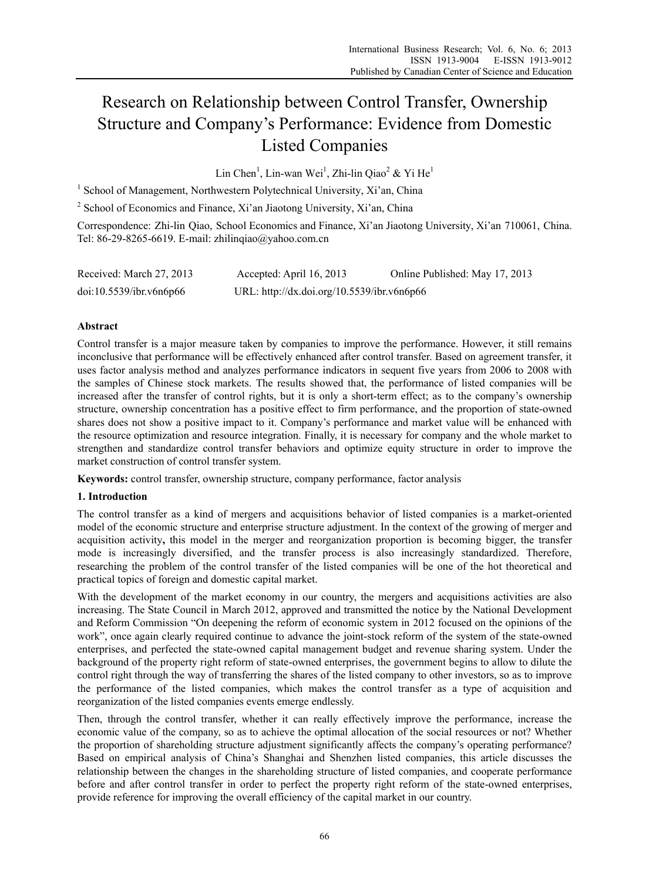# Research on Relationship between Control Transfer, Ownership Structure and Company's Performance: Evidence from Domestic Listed Companies

 $\text{Lin Chen}^1$ ,  $\text{Lin-wan Wei}^1$ ,  $\text{Zhi-lin Qiao}^2 \&\text{Yi He}^1$ 

<sup>1</sup> School of Management, Northwestern Polytechnical University, Xi'an, China

<sup>2</sup> School of Economics and Finance, Xi'an Jiaotong University, Xi'an, China

Correspondence: Zhi-lin Qiao, School Economics and Finance, Xi'an Jiaotong University, Xi'an 710061, China. Tel: 86-29-8265-6619. E-mail: zhilinqiao@yahoo.com.cn

| Received: March 27, 2013 | Accepted: April 16, 2013                   | Online Published: May 17, 2013 |
|--------------------------|--------------------------------------------|--------------------------------|
| doi:10.5539/ibr.v6n6p66  | URL: http://dx.doi.org/10.5539/ibr.v6n6p66 |                                |

## **Abstract**

Control transfer is a major measure taken by companies to improve the performance. However, it still remains inconclusive that performance will be effectively enhanced after control transfer. Based on agreement transfer, it uses factor analysis method and analyzes performance indicators in sequent five years from 2006 to 2008 with the samples of Chinese stock markets. The results showed that, the performance of listed companies will be increased after the transfer of control rights, but it is only a short-term effect; as to the company's ownership structure, ownership concentration has a positive effect to firm performance, and the proportion of state-owned shares does not show a positive impact to it. Company's performance and market value will be enhanced with the resource optimization and resource integration. Finally, it is necessary for company and the whole market to strengthen and standardize control transfer behaviors and optimize equity structure in order to improve the market construction of control transfer system.

**Keywords:** control transfer, ownership structure, company performance, factor analysis

## **1. Introduction**

The control transfer as a kind of mergers and acquisitions behavior of listed companies is a market-oriented model of the economic structure and enterprise structure adjustment. In the context of the growing of merger and acquisition activity**,** this model in the merger and reorganization proportion is becoming bigger, the transfer mode is increasingly diversified, and the transfer process is also increasingly standardized. Therefore, researching the problem of the control transfer of the listed companies will be one of the hot theoretical and practical topics of foreign and domestic capital market.

With the development of the market economy in our country, the mergers and acquisitions activities are also increasing. The State Council in March 2012, approved and transmitted the notice by the National Development and Reform Commission "On deepening the reform of economic system in 2012 focused on the opinions of the work", once again clearly required continue to advance the joint-stock reform of the system of the state-owned enterprises, and perfected the state-owned capital management budget and revenue sharing system. Under the background of the property right reform of state-owned enterprises, the government begins to allow to dilute the control right through the way of transferring the shares of the listed company to other investors, so as to improve the performance of the listed companies, which makes the control transfer as a type of acquisition and reorganization of the listed companies events emerge endlessly.

Then, through the control transfer, whether it can really effectively improve the performance, increase the economic value of the company, so as to achieve the optimal allocation of the social resources or not? Whether the proportion of shareholding structure adjustment significantly affects the company's operating performance? Based on empirical analysis of China's Shanghai and Shenzhen listed companies, this article discusses the relationship between the changes in the shareholding structure of listed companies, and cooperate performance before and after control transfer in order to perfect the property right reform of the state-owned enterprises, provide reference for improving the overall efficiency of the capital market in our country.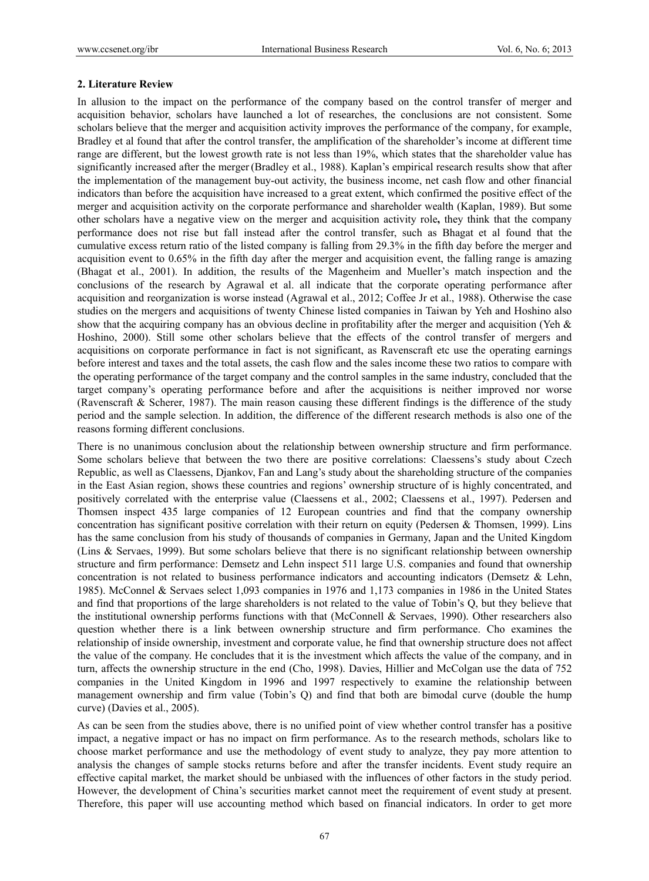#### **2. Literature Review**

In allusion to the impact on the performance of the company based on the control transfer of merger and acquisition behavior, scholars have launched a lot of researches, the conclusions are not consistent. Some scholars believe that the merger and acquisition activity improves the performance of the company, for example, Bradley et al found that after the control transfer, the amplification of the shareholder's income at different time range are different, but the lowest growth rate is not less than 19%, which states that the shareholder value has significantly increased after the merger(Bradley et al., 1988). Kaplan's empirical research results show that after the implementation of the management buy-out activity, the business income, net cash flow and other financial indicators than before the acquisition have increased to a great extent, which confirmed the positive effect of the merger and acquisition activity on the corporate performance and shareholder wealth (Kaplan, 1989). But some other scholars have a negative view on the merger and acquisition activity role**,** they think that the company performance does not rise but fall instead after the control transfer, such as Bhagat et al found that the cumulative excess return ratio of the listed company is falling from 29.3% in the fifth day before the merger and acquisition event to 0.65% in the fifth day after the merger and acquisition event, the falling range is amazing (Bhagat et al., 2001). In addition, the results of the Magenheim and Mueller's match inspection and the conclusions of the research by Agrawal et al. all indicate that the corporate operating performance after acquisition and reorganization is worse instead (Agrawal et al., 2012; Coffee Jr et al., 1988). Otherwise the case studies on the mergers and acquisitions of twenty Chinese listed companies in Taiwan by Yeh and Hoshino also show that the acquiring company has an obvious decline in profitability after the merger and acquisition (Yeh & Hoshino, 2000). Still some other scholars believe that the effects of the control transfer of mergers and acquisitions on corporate performance in fact is not significant, as Ravenscraft etc use the operating earnings before interest and taxes and the total assets, the cash flow and the sales income these two ratios to compare with the operating performance of the target company and the control samples in the same industry, concluded that the target company's operating performance before and after the acquisitions is neither improved nor worse (Ravenscraft & Scherer, 1987). The main reason causing these different findings is the difference of the study period and the sample selection. In addition, the difference of the different research methods is also one of the reasons forming different conclusions.

There is no unanimous conclusion about the relationship between ownership structure and firm performance. Some scholars believe that between the two there are positive correlations: Claessens's study about Czech Republic, as well as Claessens, Djankov, Fan and Lang's study about the shareholding structure of the companies in the East Asian region, shows these countries and regions' ownership structure of is highly concentrated, and positively correlated with the enterprise value (Claessens et al., 2002; Claessens et al., 1997). Pedersen and Thomsen inspect 435 large companies of 12 European countries and find that the company ownership concentration has significant positive correlation with their return on equity (Pedersen & Thomsen, 1999). Lins has the same conclusion from his study of thousands of companies in Germany, Japan and the United Kingdom (Lins & Servaes, 1999). But some scholars believe that there is no significant relationship between ownership structure and firm performance: Demsetz and Lehn inspect 511 large U.S. companies and found that ownership concentration is not related to business performance indicators and accounting indicators (Demsetz & Lehn, 1985). McConnel & Servaes select 1,093 companies in 1976 and 1,173 companies in 1986 in the United States and find that proportions of the large shareholders is not related to the value of Tobin's Q, but they believe that the institutional ownership performs functions with that (McConnell & Servaes, 1990). Other researchers also question whether there is a link between ownership structure and firm performance. Cho examines the relationship of inside ownership, investment and corporate value, he find that ownership structure does not affect the value of the company. He concludes that it is the investment which affects the value of the company, and in turn, affects the ownership structure in the end (Cho, 1998). Davies, Hillier and McColgan use the data of 752 companies in the United Kingdom in 1996 and 1997 respectively to examine the relationship between management ownership and firm value (Tobin's Q) and find that both are bimodal curve (double the hump curve) (Davies et al., 2005).

As can be seen from the studies above, there is no unified point of view whether control transfer has a positive impact, a negative impact or has no impact on firm performance. As to the research methods, scholars like to choose market performance and use the methodology of event study to analyze, they pay more attention to analysis the changes of sample stocks returns before and after the transfer incidents. Event study require an effective capital market, the market should be unbiased with the influences of other factors in the study period. However, the development of China's securities market cannot meet the requirement of event study at present. Therefore, this paper will use accounting method which based on financial indicators. In order to get more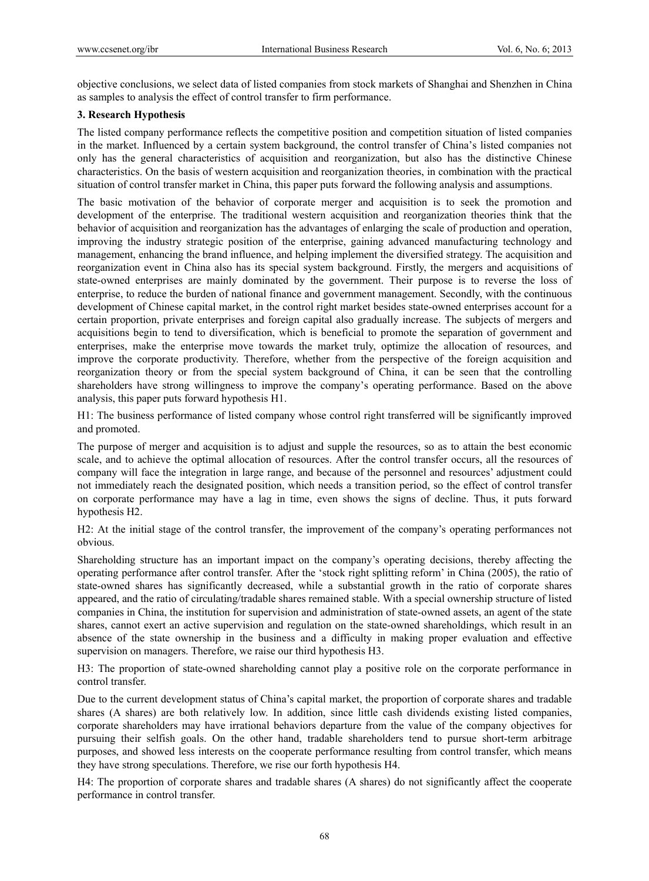objective conclusions, we select data of listed companies from stock markets of Shanghai and Shenzhen in China as samples to analysis the effect of control transfer to firm performance.

## **3. Research Hypothesis**

The listed company performance reflects the competitive position and competition situation of listed companies in the market. Influenced by a certain system background, the control transfer of China's listed companies not only has the general characteristics of acquisition and reorganization, but also has the distinctive Chinese characteristics. On the basis of western acquisition and reorganization theories, in combination with the practical situation of control transfer market in China, this paper puts forward the following analysis and assumptions.

The basic motivation of the behavior of corporate merger and acquisition is to seek the promotion and development of the enterprise. The traditional western acquisition and reorganization theories think that the behavior of acquisition and reorganization has the advantages of enlarging the scale of production and operation, improving the industry strategic position of the enterprise, gaining advanced manufacturing technology and management, enhancing the brand influence, and helping implement the diversified strategy. The acquisition and reorganization event in China also has its special system background. Firstly, the mergers and acquisitions of state-owned enterprises are mainly dominated by the government. Their purpose is to reverse the loss of enterprise, to reduce the burden of national finance and government management. Secondly, with the continuous development of Chinese capital market, in the control right market besides state-owned enterprises account for a certain proportion, private enterprises and foreign capital also gradually increase. The subjects of mergers and acquisitions begin to tend to diversification, which is beneficial to promote the separation of government and enterprises, make the enterprise move towards the market truly, optimize the allocation of resources, and improve the corporate productivity. Therefore, whether from the perspective of the foreign acquisition and reorganization theory or from the special system background of China, it can be seen that the controlling shareholders have strong willingness to improve the company's operating performance. Based on the above analysis, this paper puts forward hypothesis H1.

H1: The business performance of listed company whose control right transferred will be significantly improved and promoted.

The purpose of merger and acquisition is to adjust and supple the resources, so as to attain the best economic scale, and to achieve the optimal allocation of resources. After the control transfer occurs, all the resources of company will face the integration in large range, and because of the personnel and resources' adjustment could not immediately reach the designated position, which needs a transition period, so the effect of control transfer on corporate performance may have a lag in time, even shows the signs of decline. Thus, it puts forward hypothesis H2.

H2: At the initial stage of the control transfer, the improvement of the company's operating performances not obvious.

Shareholding structure has an important impact on the company's operating decisions, thereby affecting the operating performance after control transfer. After the 'stock right splitting reform' in China (2005), the ratio of state-owned shares has significantly decreased, while a substantial growth in the ratio of corporate shares appeared, and the ratio of circulating/tradable shares remained stable. With a special ownership structure of listed companies in China, the institution for supervision and administration of state-owned assets, an agent of the state shares, cannot exert an active supervision and regulation on the state-owned shareholdings, which result in an absence of the state ownership in the business and a difficulty in making proper evaluation and effective supervision on managers. Therefore, we raise our third hypothesis H3.

H3: The proportion of state-owned shareholding cannot play a positive role on the corporate performance in control transfer.

Due to the current development status of China's capital market, the proportion of corporate shares and tradable shares (A shares) are both relatively low. In addition, since little cash dividends existing listed companies, corporate shareholders may have irrational behaviors departure from the value of the company objectives for pursuing their selfish goals. On the other hand, tradable shareholders tend to pursue short-term arbitrage purposes, and showed less interests on the cooperate performance resulting from control transfer, which means they have strong speculations. Therefore, we rise our forth hypothesis H4.

H4: The proportion of corporate shares and tradable shares (A shares) do not significantly affect the cooperate performance in control transfer.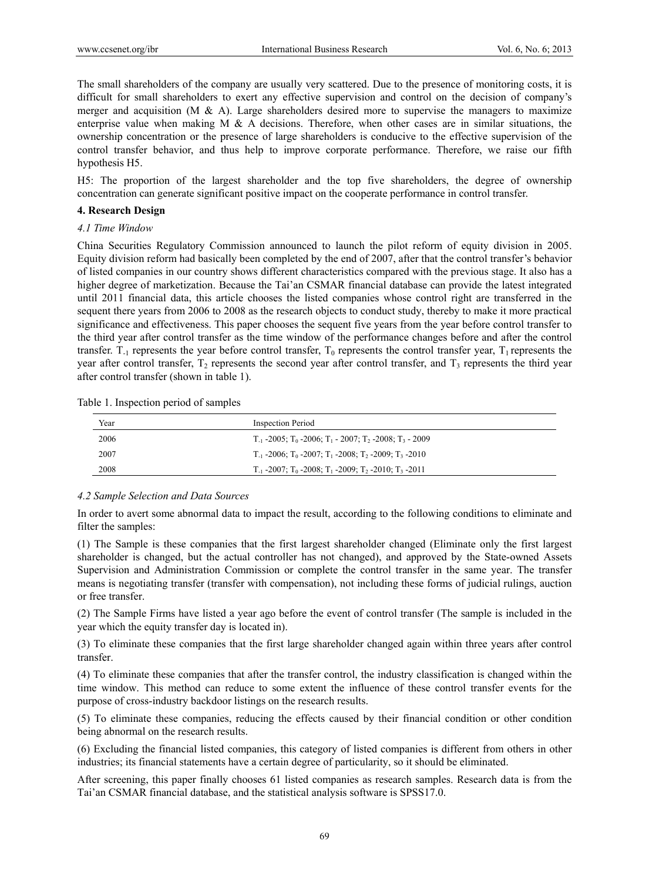The small shareholders of the company are usually very scattered. Due to the presence of monitoring costs, it is difficult for small shareholders to exert any effective supervision and control on the decision of company's merger and acquisition (M & A). Large shareholders desired more to supervise the managers to maximize enterprise value when making M  $\&$  A decisions. Therefore, when other cases are in similar situations, the ownership concentration or the presence of large shareholders is conducive to the effective supervision of the control transfer behavior, and thus help to improve corporate performance. Therefore, we raise our fifth hypothesis H5.

H5: The proportion of the largest shareholder and the top five shareholders, the degree of ownership concentration can generate significant positive impact on the cooperate performance in control transfer.

## **4. Research Design**

## *4.1 Time Window*

China Securities Regulatory Commission announced to launch the pilot reform of equity division in 2005. Equity division reform had basically been completed by the end of 2007, after that the control transfer's behavior of listed companies in our country shows different characteristics compared with the previous stage. It also has a higher degree of marketization. Because the Tai'an CSMAR financial database can provide the latest integrated until 2011 financial data, this article chooses the listed companies whose control right are transferred in the sequent there years from 2006 to 2008 as the research objects to conduct study, thereby to make it more practical significance and effectiveness. This paper chooses the sequent five years from the year before control transfer to the third year after control transfer as the time window of the performance changes before and after the control transfer.  $T_{-1}$  represents the year before control transfer,  $T_0$  represents the control transfer year,  $T_1$  represents the year after control transfer, T<sub>2</sub> represents the second year after control transfer, and  $T_3$  represents the third year after control transfer (shown in table 1).

Table 1. Inspection period of samples

| Year | Inspection Period                                                    |
|------|----------------------------------------------------------------------|
| 2006 | $T_{-1}$ -2005; $T_0$ -2006; $T_1$ - 2007; $T_2$ -2008; $T_3$ - 2009 |
| 2007 | $T_{-1}$ -2006; $T_0$ -2007; $T_1$ -2008; $T_2$ -2009; $T_3$ -2010   |
| 2008 | $T_{-1}$ -2007; $T_0$ -2008; $T_1$ -2009; $T_2$ -2010; $T_3$ -2011   |

## *4.2 Sample Selection and Data Sources*

In order to avert some abnormal data to impact the result, according to the following conditions to eliminate and filter the samples:

(1) The Sample is these companies that the first largest shareholder changed (Eliminate only the first largest shareholder is changed, but the actual controller has not changed), and approved by the State-owned Assets Supervision and Administration Commission or complete the control transfer in the same year. The transfer means is negotiating transfer (transfer with compensation), not including these forms of judicial rulings, auction or free transfer.

(2) The Sample Firms have listed a year ago before the event of control transfer (The sample is included in the year which the equity transfer day is located in).

(3) To eliminate these companies that the first large shareholder changed again within three years after control transfer.

(4) To eliminate these companies that after the transfer control, the industry classification is changed within the time window. This method can reduce to some extent the influence of these control transfer events for the purpose of cross-industry backdoor listings on the research results.

(5) To eliminate these companies, reducing the effects caused by their financial condition or other condition being abnormal on the research results.

(6) Excluding the financial listed companies, this category of listed companies is different from others in other industries; its financial statements have a certain degree of particularity, so it should be eliminated.

After screening, this paper finally chooses 61 listed companies as research samples. Research data is from the Tai'an CSMAR financial database, and the statistical analysis software is SPSS17.0.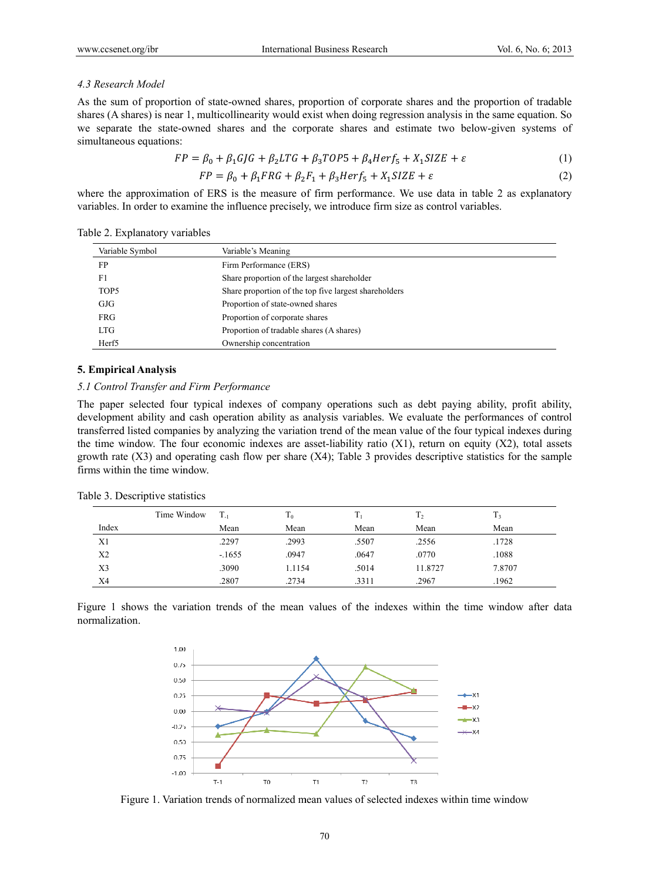#### 4.3 Research Model

As the sum of proportion of state-owned shares, proportion of corporate shares and the proportion of tradable shares (A shares) is near 1, multicollinearity would exist when doing regression analysis in the same equation. So we separate the state-owned shares and the corporate shares and estimate two below-given systems of simultaneous equations:

$$
FP = \beta_0 + \beta_1 GJG + \beta_2 LTG + \beta_3 TOP5 + \beta_4 Herf_5 + X_1 SIZE + \varepsilon
$$
 (1)

$$
FP = \beta_0 + \beta_1 FRG + \beta_2 F_1 + \beta_3 Herf_5 + X_1 SIZE + \varepsilon
$$
\n(2)

where the approximation of ERS is the measure of firm performance. We use data in table 2 as explanatory variables. In order to examine the influence precisely, we introduce firm size as control variables.

| Variable Symbol   | Variable's Meaning                                    |
|-------------------|-------------------------------------------------------|
| FP.               | Firm Performance (ERS)                                |
| F1                | Share proportion of the largest shareholder           |
| TOP <sub>5</sub>  | Share proportion of the top five largest shareholders |
| GJG               | Proportion of state-owned shares                      |
| <b>FRG</b>        | Proportion of corporate shares                        |
| LTG.              | Proportion of tradable shares (A shares)              |
| Herf <sub>5</sub> | Ownership concentration                               |

Table 2. Explanatory variables

#### **5. Empiric cal Analysis**

### 5.1 Control Transfer and Firm Performance

The paper selected four typical indexes of company operations such as debt paying ability, profit ability, development ability and cash operation ability as analysis variables. We evaluate the performances of control transferred listed companies by analyzing the variation trend of the mean value of the four typical indexes during the time window. The four economic indexes are asset-liability ratio  $(X1)$ , return on equity  $(X2)$ , total assets growth rate  $(X3)$  and operating cash flow per share  $(X4)$ ; Table 3 provides descriptive statistics for the sample firms within the time window.

|                | Time Window | $T_{-1}$ | 1 <sub>0</sub> |       | 1 <sub>2</sub> | 13     |
|----------------|-------------|----------|----------------|-------|----------------|--------|
| Index          |             | Mean     | Mean           | Mean  | Mean           | Mean   |
| X1             |             | .2297    | .2993          | .5507 | .2556          | .1728  |
| X <sub>2</sub> |             | $-1655$  | .0947          | .0647 | .0770          | .1088  |
| X3             |             | .3090    | 1.1154         | .5014 | 11.8727        | 7.8707 |
| X4             |             | .2807    | .2734          | .3311 | .2967          | .1962  |

Table 3. Descriptive statistics

Figure 1 shows the variation trends of the mean values of the indexes within the time window after data normalization.



Figure 1. Variation trends of normalized mean values of selected indexes within time window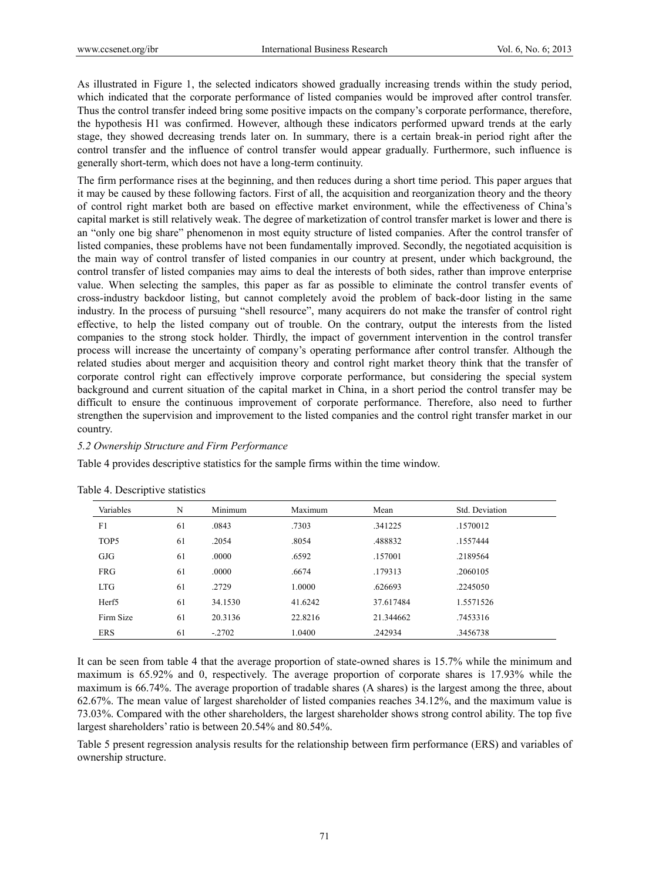As illustrated in Figure 1, the selected indicators showed gradually increasing trends within the study period, which indicated that the corporate performance of listed companies would be improved after control transfer. Thus the control transfer indeed bring some positive impacts on the company's corporate performance, therefore, the hypothesis H1 was confirmed. However, although these indicators performed upward trends at the early stage, they showed decreasing trends later on. In summary, there is a certain break-in period right after the control transfer and the influence of control transfer would appear gradually. Furthermore, such influence is generally short-term, which does not have a long-term continuity.

The firm performance rises at the beginning, and then reduces during a short time period. This paper argues that it may be caused by these following factors. First of all, the acquisition and reorganization theory and the theory of control right market both are based on effective market environment, while the effectiveness of China's capital market is still relatively weak. The degree of marketization of control transfer market is lower and there is an "only one big share" phenomenon in most equity structure of listed companies. After the control transfer of listed companies, these problems have not been fundamentally improved. Secondly, the negotiated acquisition is the main way of control transfer of listed companies in our country at present, under which background, the control transfer of listed companies may aims to deal the interests of both sides, rather than improve enterprise value. When selecting the samples, this paper as far as possible to eliminate the control transfer events of cross-industry backdoor listing, but cannot completely avoid the problem of back-door listing in the same industry. In the process of pursuing "shell resource", many acquirers do not make the transfer of control right effective, to help the listed company out of trouble. On the contrary, output the interests from the listed companies to the strong stock holder. Thirdly, the impact of government intervention in the control transfer process will increase the uncertainty of company's operating performance after control transfer. Although the related studies about merger and acquisition theory and control right market theory think that the transfer of corporate control right can effectively improve corporate performance, but considering the special system background and current situation of the capital market in China, in a short period the control transfer may be difficult to ensure the continuous improvement of corporate performance. Therefore, also need to further strengthen the supervision and improvement to the listed companies and the control right transfer market in our country.

## *5.2 Ownership Structure and Firm Performance*

Table 4 provides descriptive statistics for the sample firms within the time window.

| Variables  | N  | Minimum | Maximum | Mean      | Std. Deviation |
|------------|----|---------|---------|-----------|----------------|
| F1         | 61 | .0843   | .7303   | .341225   | .1570012       |
| TOP5       | 61 | .2054   | .8054   | .488832   | .1557444       |
| <b>GJG</b> | 61 | .0000   | .6592   | .157001   | .2189564       |
| <b>FRG</b> | 61 | .0000   | .6674   | .179313   | .2060105       |
| <b>LTG</b> | 61 | .2729   | 1.0000  | .626693   | .2245050       |
| Herf5      | 61 | 34.1530 | 41.6242 | 37.617484 | 1.5571526      |
| Firm Size  | 61 | 20.3136 | 22.8216 | 21.344662 | .7453316       |
| <b>ERS</b> | 61 | $-2702$ | 1.0400  | .242934   | .3456738       |

Table 4. Descriptive statistics

It can be seen from table 4 that the average proportion of state-owned shares is 15.7% while the minimum and maximum is 65.92% and 0, respectively. The average proportion of corporate shares is 17.93% while the maximum is 66.74%. The average proportion of tradable shares (A shares) is the largest among the three, about 62.67%. The mean value of largest shareholder of listed companies reaches 34.12%, and the maximum value is 73.03%. Compared with the other shareholders, the largest shareholder shows strong control ability. The top five largest shareholders' ratio is between 20.54% and 80.54%.

Table 5 present regression analysis results for the relationship between firm performance (ERS) and variables of ownership structure.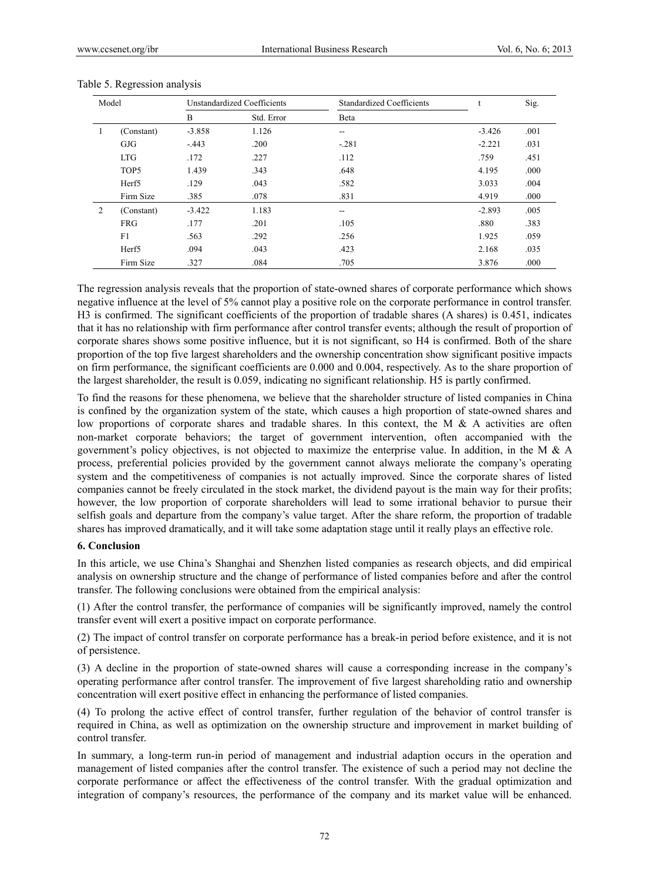| Model |                   | Unstandardized Coefficients |            | <b>Standardized Coefficients</b> | υ        | Sig. |
|-------|-------------------|-----------------------------|------------|----------------------------------|----------|------|
|       |                   | B                           | Std. Error | Beta                             |          |      |
| 1     | (Constant)        | $-3.858$                    | 1.126      | --                               | $-3.426$ | .001 |
|       | GJG               | $-.443$                     | .200       | $-.281$                          | $-2.221$ | .031 |
|       | <b>LTG</b>        | .172                        | .227       | .112                             | .759     | .451 |
|       | TOP <sub>5</sub>  | 1.439                       | .343       | .648                             | 4.195    | .000 |
|       | Herf <sub>5</sub> | .129                        | .043       | .582                             | 3.033    | .004 |
|       | Firm Size         | .385                        | .078       | .831                             | 4.919    | .000 |
| 2     | (Constant)        | $-3.422$                    | 1.183      | --                               | $-2.893$ | .005 |
|       | <b>FRG</b>        | .177                        | .201       | .105                             | .880     | .383 |
|       | F1                | .563                        | .292       | .256                             | 1.925    | .059 |
|       | Herf <sub>5</sub> | .094                        | .043       | .423                             | 2.168    | .035 |
|       | Firm Size         | .327                        | .084       | .705                             | 3.876    | .000 |

#### Table 5. Regression analysis

The regression analysis reveals that the proportion of state-owned shares of corporate performance which shows negative influence at the level of 5% cannot play a positive role on the corporate performance in control transfer. H3 is confirmed. The significant coefficients of the proportion of tradable shares (A shares) is 0.451, indicates that it has no relationship with firm performance after control transfer events; although the result of proportion of corporate shares shows some positive influence, but it is not significant, so H4 is confirmed. Both of the share proportion of the top five largest shareholders and the ownership concentration show significant positive impacts on firm performance, the significant coefficients are 0.000 and 0.004, respectively. As to the share proportion of the largest shareholder, the result is 0.059, indicating no significant relationship. H5 is partly confirmed.

To find the reasons for these phenomena, we believe that the shareholder structure of listed companies in China is confined by the organization system of the state, which causes a high proportion of state-owned shares and low proportions of corporate shares and tradable shares. In this context, the M & A activities are often non-market corporate behaviors; the target of government intervention, often accompanied with the government's policy objectives, is not objected to maximize the enterprise value. In addition, in the M & A process, preferential policies provided by the government cannot always meliorate the company's operating system and the competitiveness of companies is not actually improved. Since the corporate shares of listed companies cannot be freely circulated in the stock market, the dividend payout is the main way for their profits; however, the low proportion of corporate shareholders will lead to some irrational behavior to pursue their selfish goals and departure from the company's value target. After the share reform, the proportion of tradable shares has improved dramatically, and it will take some adaptation stage until it really plays an effective role.

#### **6. Conclusion**

In this article, we use China's Shanghai and Shenzhen listed companies as research objects, and did empirical analysis on ownership structure and the change of performance of listed companies before and after the control transfer. The following conclusions were obtained from the empirical analysis:

(1) After the control transfer, the performance of companies will be significantly improved, namely the control transfer event will exert a positive impact on corporate performance.

(2) The impact of control transfer on corporate performance has a break-in period before existence, and it is not of persistence.

(3) A decline in the proportion of state-owned shares will cause a corresponding increase in the company's operating performance after control transfer. The improvement of five largest shareholding ratio and ownership concentration will exert positive effect in enhancing the performance of listed companies.

(4) To prolong the active effect of control transfer, further regulation of the behavior of control transfer is required in China, as well as optimization on the ownership structure and improvement in market building of control transfer.

In summary, a long-term run-in period of management and industrial adaption occurs in the operation and management of listed companies after the control transfer. The existence of such a period may not decline the corporate performance or affect the effectiveness of the control transfer. With the gradual optimization and integration of company's resources, the performance of the company and its market value will be enhanced.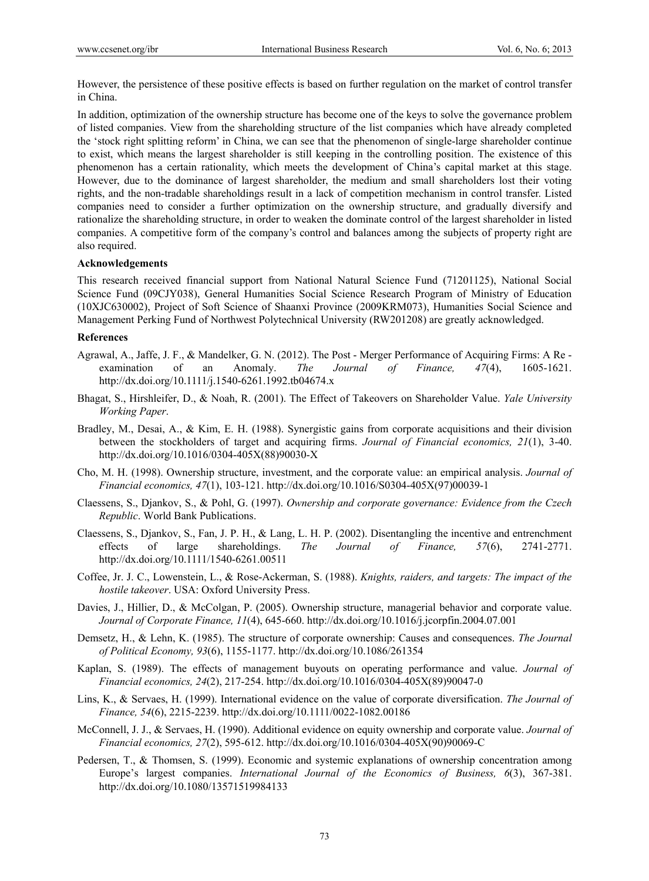However, the persistence of these positive effects is based on further regulation on the market of control transfer in China.

In addition, optimization of the ownership structure has become one of the keys to solve the governance problem of listed companies. View from the shareholding structure of the list companies which have already completed the 'stock right splitting reform' in China, we can see that the phenomenon of single-large shareholder continue to exist, which means the largest shareholder is still keeping in the controlling position. The existence of this phenomenon has a certain rationality, which meets the development of China's capital market at this stage. However, due to the dominance of largest shareholder, the medium and small shareholders lost their voting rights, and the non-tradable shareholdings result in a lack of competition mechanism in control transfer. Listed companies need to consider a further optimization on the ownership structure, and gradually diversify and rationalize the shareholding structure, in order to weaken the dominate control of the largest shareholder in listed companies. A competitive form of the company's control and balances among the subjects of property right are also required.

#### **Acknowledgements**

This research received financial support from National Natural Science Fund (71201125), National Social Science Fund (09CJY038), General Humanities Social Science Research Program of Ministry of Education (10XJC630002), Project of Soft Science of Shaanxi Province (2009KRM073), Humanities Social Science and Management Perking Fund of Northwest Polytechnical University (RW201208) are greatly acknowledged.

#### **References**

- Agrawal, A., Jaffe, J. F., & Mandelker, G. N. (2012). The Post Merger Performance of Acquiring Firms: A Re examination of an Anomaly. *The Journal of Finance, 47*(4), 1605-1621. http://dx.doi.org/10.1111/j.1540-6261.1992.tb04674.x
- Bhagat, S., Hirshleifer, D., & Noah, R. (2001). The Effect of Takeovers on Shareholder Value. *Yale University Working Paper*.
- Bradley, M., Desai, A., & Kim, E. H. (1988). Synergistic gains from corporate acquisitions and their division between the stockholders of target and acquiring firms. *Journal of Financial economics, 21*(1), 3-40. http://dx.doi.org/10.1016/0304-405X(88)90030-X
- Cho, M. H. (1998). Ownership structure, investment, and the corporate value: an empirical analysis. *Journal of Financial economics, 47*(1), 103-121. http://dx.doi.org/10.1016/S0304-405X(97)00039-1
- Claessens, S., Djankov, S., & Pohl, G. (1997). *Ownership and corporate governance: Evidence from the Czech Republic*. World Bank Publications.
- Claessens, S., Djankov, S., Fan, J. P. H., & Lang, L. H. P. (2002). Disentangling the incentive and entrenchment effects of large shareholdings. *The Journal of Finance, 57*(6), 2741-2771. http://dx.doi.org/10.1111/1540-6261.00511
- Coffee, Jr. J. C., Lowenstein, L., & Rose-Ackerman, S. (1988). *Knights, raiders, and targets: The impact of the hostile takeover*. USA: Oxford University Press.
- Davies, J., Hillier, D., & McColgan, P. (2005). Ownership structure, managerial behavior and corporate value. *Journal of Corporate Finance, 11*(4), 645-660. http://dx.doi.org/10.1016/j.jcorpfin.2004.07.001
- Demsetz, H., & Lehn, K. (1985). The structure of corporate ownership: Causes and consequences. *The Journal of Political Economy, 93*(6), 1155-1177. http://dx.doi.org/10.1086/261354
- Kaplan, S. (1989). The effects of management buyouts on operating performance and value. *Journal of Financial economics, 24*(2), 217-254. http://dx.doi.org/10.1016/0304-405X(89)90047-0
- Lins, K., & Servaes, H. (1999). International evidence on the value of corporate diversification. *The Journal of Finance, 54*(6), 2215-2239. http://dx.doi.org/10.1111/0022-1082.00186
- McConnell, J. J., & Servaes, H. (1990). Additional evidence on equity ownership and corporate value. *Journal of Financial economics, 27*(2), 595-612. http://dx.doi.org/10.1016/0304-405X(90)90069-C
- Pedersen, T., & Thomsen, S. (1999). Economic and systemic explanations of ownership concentration among Europe's largest companies. *International Journal of the Economics of Business, 6*(3), 367-381. http://dx.doi.org/10.1080/13571519984133